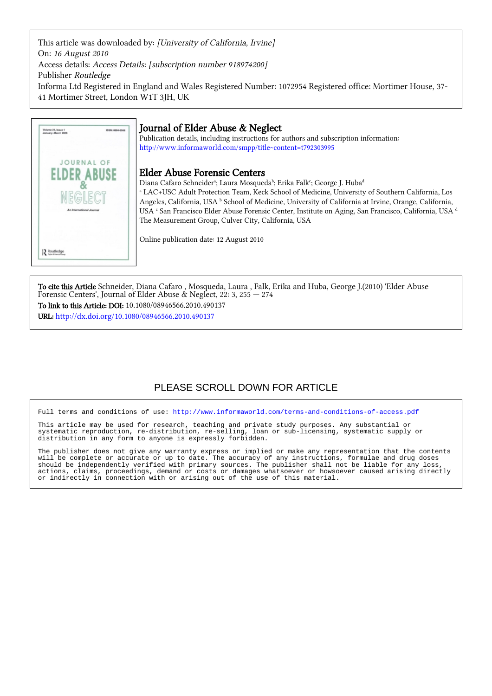This article was downloaded by: [University of California, Irvine] On: 16 August 2010 Access details: Access Details: [subscription number 918974200] Publisher Routledge Informa Ltd Registered in England and Wales Registered Number: 1072954 Registered office: Mortimer House, 37- 41 Mortimer Street, London W1T 3JH, UK



## Journal of Elder Abuse & Neglect

Publication details, including instructions for authors and subscription information: <http://www.informaworld.com/smpp/title~content=t792303995>

## Elder Abuse Forensic Centers

Diana Cafaro Schneiderª; Laura Mosquedaʰ; Erika Falk<sup>c</sup>; George J. Huba<sup>d</sup> a LAC+USC Adult Protection Team, Keck School of Medicine, University of Southern California, Los Angeles, California, USA b School of Medicine, University of California at Irvine, Orange, California, USA <sup>c</sup> San Francisco Elder Abuse Forensic Center, Institute on Aging, San Francisco, California, USA <sup>d</sup> The Measurement Group, Culver City, California, USA

Online publication date: 12 August 2010

To cite this Article Schneider, Diana Cafaro , Mosqueda, Laura , Falk, Erika and Huba, George J.(2010) 'Elder Abuse Forensic Centers', Journal of Elder Abuse & Neglect, 22: 3, 255 — 274 To link to this Article: DOI: 10.1080/08946566.2010.490137 URL: <http://dx.doi.org/10.1080/08946566.2010.490137>

# PLEASE SCROLL DOWN FOR ARTICLE

Full terms and conditions of use:<http://www.informaworld.com/terms-and-conditions-of-access.pdf>

This article may be used for research, teaching and private study purposes. Any substantial or systematic reproduction, re-distribution, re-selling, loan or sub-licensing, systematic supply or distribution in any form to anyone is expressly forbidden.

The publisher does not give any warranty express or implied or make any representation that the contents will be complete or accurate or up to date. The accuracy of any instructions, formulae and drug doses should be independently verified with primary sources. The publisher shall not be liable for any loss, actions, claims, proceedings, demand or costs or damages whatsoever or howsoever caused arising directly or indirectly in connection with or arising out of the use of this material.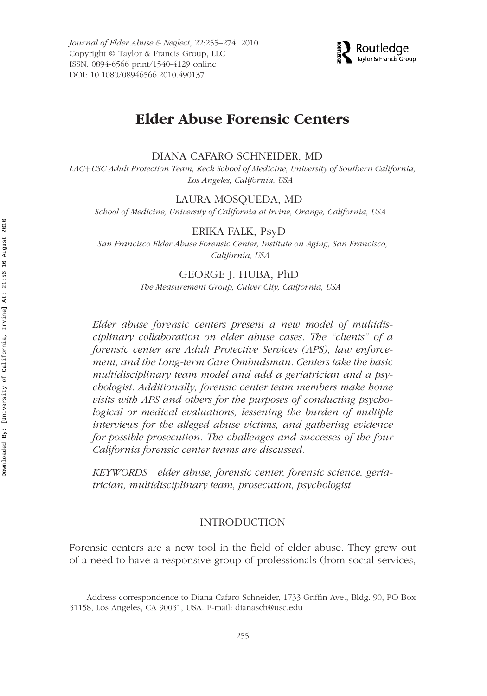

## **Elder Abuse Forensic Centers**

DIANA CAFARO SCHNEIDER, MD

*LAC*+*USC Adult Protection Team, Keck School of Medicine, University of Southern California, Los Angeles, California, USA*

LAURA MOSQUEDA, MD

*School of Medicine, University of California at Irvine, Orange, California, USA*

ERIKA FALK, PsyD

*San Francisco Elder Abuse Forensic Center, Institute on Aging, San Francisco, California, USA*

GEORGE J. HUBA, PhD

*The Measurement Group, Culver City, California, USA*

*Elder abuse forensic centers present a new model of multidisciplinary collaboration on elder abuse cases. The "clients" of a forensic center are Adult Protective Services (APS), law enforcement, and the Long-term Care Ombudsman. Centers take the basic multidisciplinary team model and add a geriatrician and a psychologist. Additionally, forensic center team members make home visits with APS and others for the purposes of conducting psychological or medical evaluations, lessening the burden of multiple interviews for the alleged abuse victims, and gathering evidence for possible prosecution. The challenges and successes of the four California forensic center teams are discussed.*

*KEYWORDS elder abuse, forensic center, forensic science, geriatrician, multidisciplinary team, prosecution, psychologist*

## INTRODUCTION

Forensic centers are a new tool in the field of elder abuse. They grew out of a need to have a responsive group of professionals (from social services,

Address correspondence to Diana Cafaro Schneider, 1733 Griffin Ave., Bldg. 90, PO Box 31158, Los Angeles, CA 90031, USA. E-mail: dianasch@usc.edu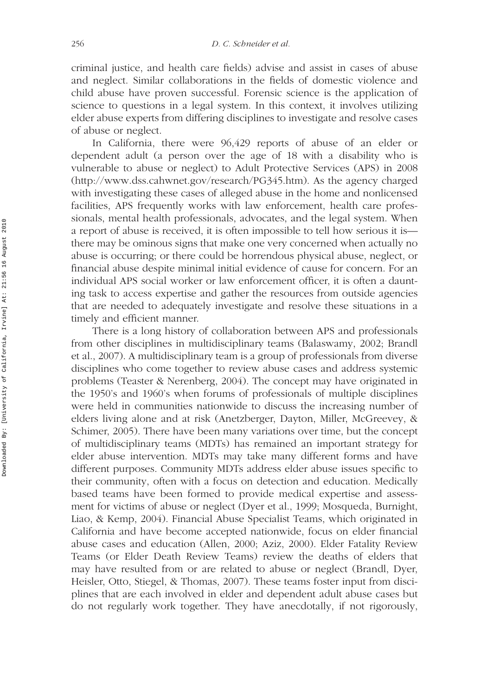criminal justice, and health care fields) advise and assist in cases of abuse and neglect. Similar collaborations in the fields of domestic violence and child abuse have proven successful. Forensic science is the application of science to questions in a legal system. In this context, it involves utilizing elder abuse experts from differing disciplines to investigate and resolve cases of abuse or neglect.

In California, there were 96,429 reports of abuse of an elder or dependent adult (a person over the age of 18 with a disability who is vulnerable to abuse or neglect) to Adult Protective Services (APS) in 2008 (http://www.dss.cahwnet.gov/research/PG345.htm). As the agency charged with investigating these cases of alleged abuse in the home and nonlicensed facilities, APS frequently works with law enforcement, health care professionals, mental health professionals, advocates, and the legal system. When a report of abuse is received, it is often impossible to tell how serious it is there may be ominous signs that make one very concerned when actually no abuse is occurring; or there could be horrendous physical abuse, neglect, or financial abuse despite minimal initial evidence of cause for concern. For an individual APS social worker or law enforcement officer, it is often a daunting task to access expertise and gather the resources from outside agencies that are needed to adequately investigate and resolve these situations in a timely and efficient manner.

There is a long history of collaboration between APS and professionals from other disciplines in multidisciplinary teams (Balaswamy, 2002; Brandl et al., 2007). A multidisciplinary team is a group of professionals from diverse disciplines who come together to review abuse cases and address systemic problems (Teaster & Nerenberg, 2004). The concept may have originated in the 1950's and 1960's when forums of professionals of multiple disciplines were held in communities nationwide to discuss the increasing number of elders living alone and at risk (Anetzberger, Dayton, Miller, McGreevey, & Schimer, 2005). There have been many variations over time, but the concept of multidisciplinary teams (MDTs) has remained an important strategy for elder abuse intervention. MDTs may take many different forms and have different purposes. Community MDTs address elder abuse issues specific to their community, often with a focus on detection and education. Medically based teams have been formed to provide medical expertise and assessment for victims of abuse or neglect (Dyer et al., 1999; Mosqueda, Burnight, Liao, & Kemp, 2004). Financial Abuse Specialist Teams, which originated in California and have become accepted nationwide, focus on elder financial abuse cases and education (Allen, 2000; Aziz, 2000). Elder Fatality Review Teams (or Elder Death Review Teams) review the deaths of elders that may have resulted from or are related to abuse or neglect (Brandl, Dyer, Heisler, Otto, Stiegel, & Thomas, 2007). These teams foster input from disciplines that are each involved in elder and dependent adult abuse cases but do not regularly work together. They have anecdotally, if not rigorously,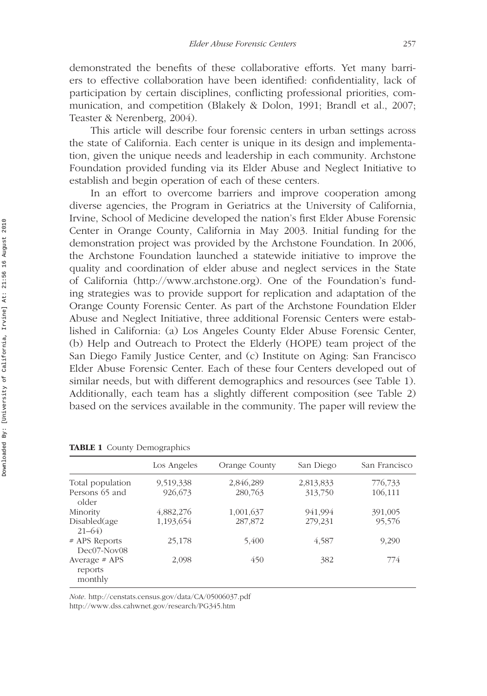demonstrated the benefits of these collaborative efforts. Yet many barriers to effective collaboration have been identified: confidentiality, lack of participation by certain disciplines, conflicting professional priorities, communication, and competition (Blakely & Dolon, 1991; Brandl et al., 2007; Teaster & Nerenberg, 2004).

This article will describe four forensic centers in urban settings across the state of California. Each center is unique in its design and implementation, given the unique needs and leadership in each community. Archstone Foundation provided funding via its Elder Abuse and Neglect Initiative to establish and begin operation of each of these centers.

In an effort to overcome barriers and improve cooperation among diverse agencies, the Program in Geriatrics at the University of California, Irvine, School of Medicine developed the nation's first Elder Abuse Forensic Center in Orange County, California in May 2003. Initial funding for the demonstration project was provided by the Archstone Foundation. In 2006, the Archstone Foundation launched a statewide initiative to improve the quality and coordination of elder abuse and neglect services in the State of California (http://www.archstone.org). One of the Foundation's funding strategies was to provide support for replication and adaptation of the Orange County Forensic Center. As part of the Archstone Foundation Elder Abuse and Neglect Initiative, three additional Forensic Centers were established in California: (a) Los Angeles County Elder Abuse Forensic Center, (b) Help and Outreach to Protect the Elderly (HOPE) team project of the San Diego Family Justice Center, and (c) Institute on Aging: San Francisco Elder Abuse Forensic Center. Each of these four Centers developed out of similar needs, but with different demographics and resources (see Table 1). Additionally, each team has a slightly different composition (see Table 2) based on the services available in the community. The paper will review the

| ---------                             |             |               |           |               |  |
|---------------------------------------|-------------|---------------|-----------|---------------|--|
|                                       | Los Angeles | Orange County | San Diego | San Francisco |  |
| Total population                      | 9,519,338   | 2,846,289     | 2,813,833 | 776,733       |  |
| Persons 65 and<br>older               | 926,673     | 280,763       | 313,750   | 106,111       |  |
| Minority                              | 4,882,276   | 1,001,637     | 941,994   | 391,005       |  |
| Disable d(age)<br>$21 - 64$           | 1,193,654   | 287,872       | 279,231   | 95,576        |  |
| # APS Reports<br>$Dec07-Nov08$        | 25,178      | 5,400         | 4,587     | 9,290         |  |
| Average $#$ APS<br>reports<br>monthly | 2,098       | 450           | 382       | 774           |  |

**TABLE 1** County Demographics

*Note*. http://censtats.census.gov/data/CA/05006037.pdf

http://www.dss.cahwnet.gov/research/PG345.htm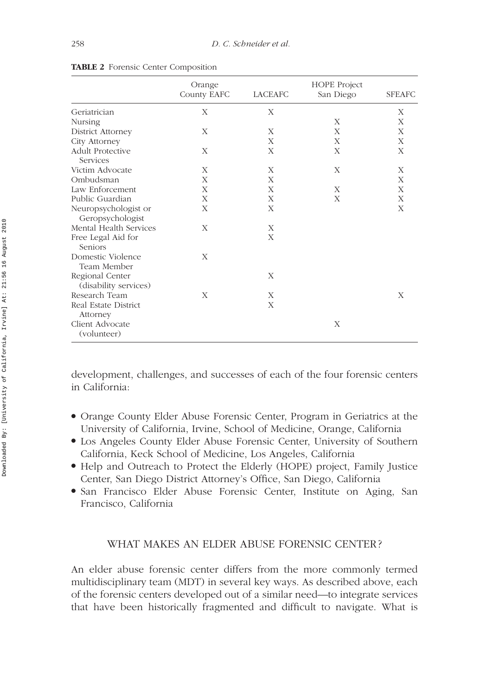|                                          | Orange<br>County EAFC | <b>LACEAFC</b> | <b>HOPE Project</b><br>San Diego | <b>SFEAFC</b> |
|------------------------------------------|-----------------------|----------------|----------------------------------|---------------|
| Geriatrician                             | Χ                     | Χ              |                                  | Χ             |
| Nursing                                  |                       |                | Χ                                | Χ             |
| District Attorney                        | X                     | Χ              | Χ                                | Χ             |
| City Attorney                            |                       | Χ              | Χ                                | Χ             |
| <b>Adult Protective</b><br>Services      | X                     | X              | X                                | Χ             |
| Victim Advocate                          | X                     | X              | Χ                                | X             |
| Ombudsman                                | X                     | Χ              |                                  | Χ             |
| Law Enforcement                          | Χ                     | X              | X                                | X             |
| Public Guardian                          | X                     | X              | Χ                                | X             |
| Neuropsychologist or<br>Geropsychologist | Χ                     | Χ              |                                  | Χ             |
| Mental Health Services                   | X                     | X              |                                  |               |
| Free Legal Aid for<br>Seniors            |                       | X              |                                  |               |
| Domestic Violence<br>Team Member         | X                     |                |                                  |               |
| Regional Center<br>(disability services) |                       | X              |                                  |               |
| Research Team                            | $\mathbf{X}$          | X              |                                  | X             |
| Real Estate District<br>Attorney         |                       | X              |                                  |               |
| Client Advocate<br>(volunteer)           |                       |                | $\mathbf{X}$                     |               |

development, challenges, and successes of each of the four forensic centers in California:

- Orange County Elder Abuse Forensic Center, Program in Geriatrics at the University of California, Irvine, School of Medicine, Orange, California
- Los Angeles County Elder Abuse Forensic Center, University of Southern California, Keck School of Medicine, Los Angeles, California
- Help and Outreach to Protect the Elderly (HOPE) project, Family Justice Center, San Diego District Attorney's Office, San Diego, California
- San Francisco Elder Abuse Forensic Center, Institute on Aging, San Francisco, California

## WHAT MAKES AN ELDER ABUSE FORENSIC CENTER ?

An elder abuse forensic center differs from the more commonly termed multidisciplinary team (MDT) in several key ways. As described above, each of the forensic centers developed out of a similar need—to integrate services that have been historically fragmented and difficult to navigate. What is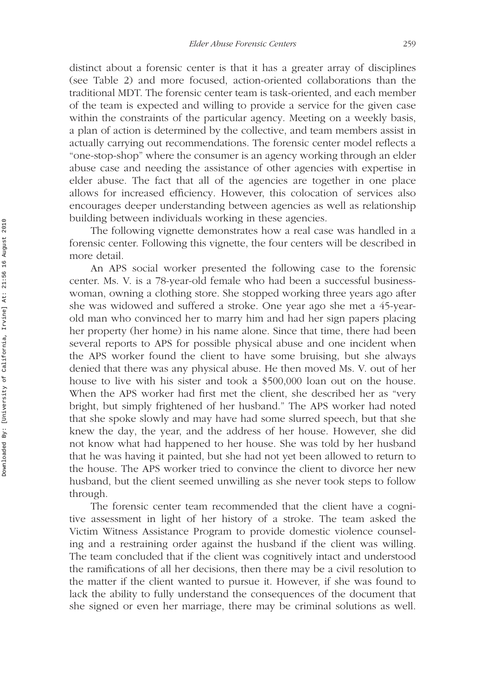distinct about a forensic center is that it has a greater array of disciplines (see Table 2) and more focused, action-oriented collaborations than the traditional MDT. The forensic center team is task-oriented, and each member of the team is expected and willing to provide a service for the given case within the constraints of the particular agency. Meeting on a weekly basis, a plan of action is determined by the collective, and team members assist in actually carrying out recommendations. The forensic center model reflects a "one-stop-shop" where the consumer is an agency working through an elder abuse case and needing the assistance of other agencies with expertise in elder abuse. The fact that all of the agencies are together in one place allows for increased efficiency. However, this colocation of services also encourages deeper understanding between agencies as well as relationship building between individuals working in these agencies.

The following vignette demonstrates how a real case was handled in a forensic center. Following this vignette, the four centers will be described in more detail.

An APS social worker presented the following case to the forensic center. Ms. V. is a 78-year-old female who had been a successful businesswoman, owning a clothing store. She stopped working three years ago after she was widowed and suffered a stroke. One year ago she met a 45-yearold man who convinced her to marry him and had her sign papers placing her property (her home) in his name alone. Since that time, there had been several reports to APS for possible physical abuse and one incident when the APS worker found the client to have some bruising, but she always denied that there was any physical abuse. He then moved Ms. V. out of her house to live with his sister and took a \$500,000 loan out on the house. When the APS worker had first met the client, she described her as "very bright, but simply frightened of her husband." The APS worker had noted that she spoke slowly and may have had some slurred speech, but that she knew the day, the year, and the address of her house. However, she did not know what had happened to her house. She was told by her husband that he was having it painted, but she had not yet been allowed to return to the house. The APS worker tried to convince the client to divorce her new husband, but the client seemed unwilling as she never took steps to follow through.

The forensic center team recommended that the client have a cognitive assessment in light of her history of a stroke. The team asked the Victim Witness Assistance Program to provide domestic violence counseling and a restraining order against the husband if the client was willing. The team concluded that if the client was cognitively intact and understood the ramifications of all her decisions, then there may be a civil resolution to the matter if the client wanted to pursue it. However, if she was found to lack the ability to fully understand the consequences of the document that she signed or even her marriage, there may be criminal solutions as well.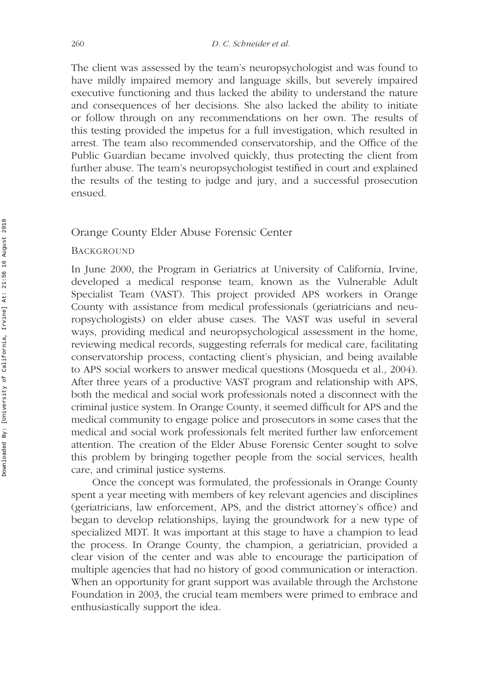The client was assessed by the team's neuropsychologist and was found to have mildly impaired memory and language skills, but severely impaired executive functioning and thus lacked the ability to understand the nature and consequences of her decisions. She also lacked the ability to initiate or follow through on any recommendations on her own. The results of this testing provided the impetus for a full investigation, which resulted in arrest. The team also recommended conservatorship, and the Office of the Public Guardian became involved quickly, thus protecting the client from further abuse. The team's neuropsychologist testified in court and explained the results of the testing to judge and jury, and a successful prosecution ensued.

## Orange County Elder Abuse Forensic Center

## BACKGROUND

In June 2000, the Program in Geriatrics at University of California, Irvine, developed a medical response team, known as the Vulnerable Adult Specialist Team (VAST). This project provided APS workers in Orange County with assistance from medical professionals (geriatricians and neuropsychologists) on elder abuse cases. The VAST was useful in several ways, providing medical and neuropsychological assessment in the home, reviewing medical records, suggesting referrals for medical care, facilitating conservatorship process, contacting client's physician, and being available to APS social workers to answer medical questions (Mosqueda et al., 2004). After three years of a productive VAST program and relationship with APS, both the medical and social work professionals noted a disconnect with the criminal justice system. In Orange County, it seemed difficult for APS and the medical community to engage police and prosecutors in some cases that the medical and social work professionals felt merited further law enforcement attention. The creation of the Elder Abuse Forensic Center sought to solve this problem by bringing together people from the social services, health care, and criminal justice systems.

Once the concept was formulated, the professionals in Orange County spent a year meeting with members of key relevant agencies and disciplines (geriatricians, law enforcement, APS, and the district attorney's office) and began to develop relationships, laying the groundwork for a new type of specialized MDT. It was important at this stage to have a champion to lead the process. In Orange County, the champion, a geriatrician, provided a clear vision of the center and was able to encourage the participation of multiple agencies that had no history of good communication or interaction. When an opportunity for grant support was available through the Archstone Foundation in 2003, the crucial team members were primed to embrace and enthusiastically support the idea.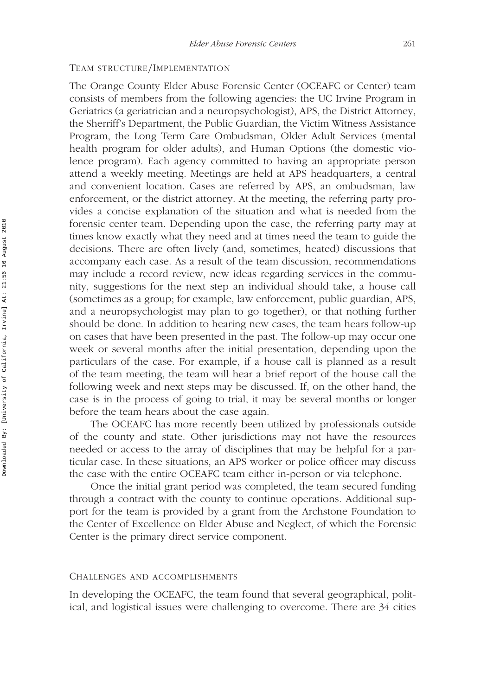### TEAM STRUCTURE*/*IMPLEMENTATION

The Orange County Elder Abuse Forensic Center (OCEAFC or Center) team consists of members from the following agencies: the UC Irvine Program in Geriatrics (a geriatrician and a neuropsychologist), APS, the District Attorney, the Sherriff's Department, the Public Guardian, the Victim Witness Assistance Program, the Long Term Care Ombudsman, Older Adult Services (mental health program for older adults), and Human Options (the domestic violence program). Each agency committed to having an appropriate person attend a weekly meeting. Meetings are held at APS headquarters, a central and convenient location. Cases are referred by APS, an ombudsman, law enforcement, or the district attorney. At the meeting, the referring party provides a concise explanation of the situation and what is needed from the forensic center team. Depending upon the case, the referring party may at times know exactly what they need and at times need the team to guide the decisions. There are often lively (and, sometimes, heated) discussions that accompany each case. As a result of the team discussion, recommendations may include a record review, new ideas regarding services in the community, suggestions for the next step an individual should take, a house call (sometimes as a group; for example, law enforcement, public guardian, APS, and a neuropsychologist may plan to go together), or that nothing further should be done. In addition to hearing new cases, the team hears follow-up on cases that have been presented in the past. The follow-up may occur one week or several months after the initial presentation, depending upon the particulars of the case. For example, if a house call is planned as a result of the team meeting, the team will hear a brief report of the house call the following week and next steps may be discussed. If, on the other hand, the case is in the process of going to trial, it may be several months or longer before the team hears about the case again.

The OCEAFC has more recently been utilized by professionals outside of the county and state. Other jurisdictions may not have the resources needed or access to the array of disciplines that may be helpful for a particular case. In these situations, an APS worker or police officer may discuss the case with the entire OCEAFC team either in-person or via telephone.

Once the initial grant period was completed, the team secured funding through a contract with the county to continue operations. Additional support for the team is provided by a grant from the Archstone Foundation to the Center of Excellence on Elder Abuse and Neglect, of which the Forensic Center is the primary direct service component.

#### CHALLENGES AND ACCOMPLISHMENTS

In developing the OCEAFC, the team found that several geographical, political, and logistical issues were challenging to overcome. There are 34 cities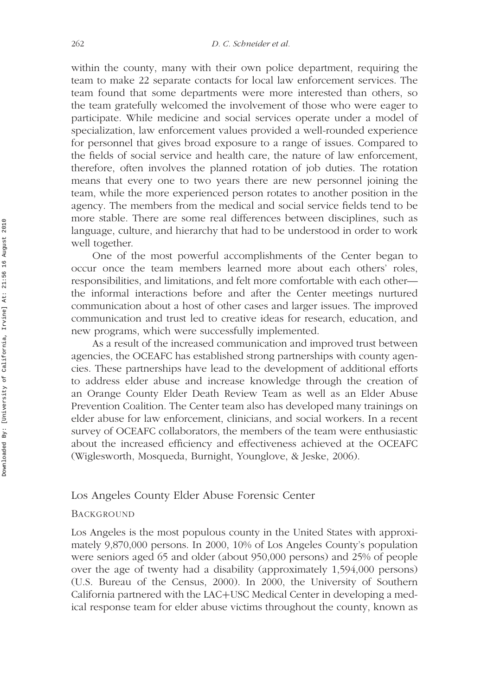within the county, many with their own police department, requiring the team to make 22 separate contacts for local law enforcement services. The team found that some departments were more interested than others, so the team gratefully welcomed the involvement of those who were eager to participate. While medicine and social services operate under a model of specialization, law enforcement values provided a well-rounded experience for personnel that gives broad exposure to a range of issues. Compared to the fields of social service and health care, the nature of law enforcement, therefore, often involves the planned rotation of job duties. The rotation means that every one to two years there are new personnel joining the team, while the more experienced person rotates to another position in the agency. The members from the medical and social service fields tend to be more stable. There are some real differences between disciplines, such as language, culture, and hierarchy that had to be understood in order to work well together.

One of the most powerful accomplishments of the Center began to occur once the team members learned more about each others' roles, responsibilities, and limitations, and felt more comfortable with each other the informal interactions before and after the Center meetings nurtured communication about a host of other cases and larger issues. The improved communication and trust led to creative ideas for research, education, and new programs, which were successfully implemented.

As a result of the increased communication and improved trust between agencies, the OCEAFC has established strong partnerships with county agencies. These partnerships have lead to the development of additional efforts to address elder abuse and increase knowledge through the creation of an Orange County Elder Death Review Team as well as an Elder Abuse Prevention Coalition. The Center team also has developed many trainings on elder abuse for law enforcement, clinicians, and social workers. In a recent survey of OCEAFC collaborators, the members of the team were enthusiastic about the increased efficiency and effectiveness achieved at the OCEAFC (Wiglesworth, Mosqueda, Burnight, Younglove, & Jeske, 2006).

## Los Angeles County Elder Abuse Forensic Center

## **BACKGROUND**

Los Angeles is the most populous county in the United States with approximately 9,870,000 persons. In 2000, 10% of Los Angeles County's population were seniors aged 65 and older (about 950,000 persons) and 25% of people over the age of twenty had a disability (approximately 1,594,000 persons) (U.S. Bureau of the Census, 2000). In 2000, the University of Southern California partnered with the LAC+USC Medical Center in developing a medical response team for elder abuse victims throughout the county, known as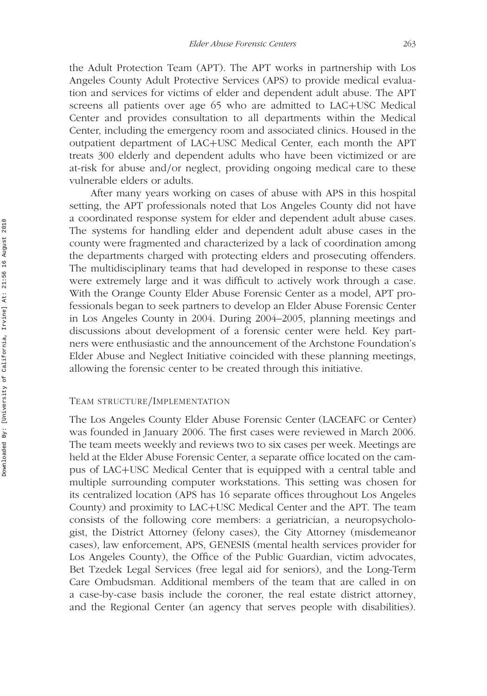the Adult Protection Team (APT). The APT works in partnership with Los Angeles County Adult Protective Services (APS) to provide medical evaluation and services for victims of elder and dependent adult abuse. The APT screens all patients over age 65 who are admitted to LAC+USC Medical Center and provides consultation to all departments within the Medical Center, including the emergency room and associated clinics. Housed in the outpatient department of LAC+USC Medical Center, each month the APT treats 300 elderly and dependent adults who have been victimized or are at-risk for abuse and*/*or neglect, providing ongoing medical care to these vulnerable elders or adults.

After many years working on cases of abuse with APS in this hospital setting, the APT professionals noted that Los Angeles County did not have a coordinated response system for elder and dependent adult abuse cases. The systems for handling elder and dependent adult abuse cases in the county were fragmented and characterized by a lack of coordination among the departments charged with protecting elders and prosecuting offenders. The multidisciplinary teams that had developed in response to these cases were extremely large and it was difficult to actively work through a case. With the Orange County Elder Abuse Forensic Center as a model, APT professionals began to seek partners to develop an Elder Abuse Forensic Center in Los Angeles County in 2004. During 2004–2005, planning meetings and discussions about development of a forensic center were held. Key partners were enthusiastic and the announcement of the Archstone Foundation's Elder Abuse and Neglect Initiative coincided with these planning meetings, allowing the forensic center to be created through this initiative.

## TEAM STRUCTURE*/*IMPLEMENTATION

The Los Angeles County Elder Abuse Forensic Center (LACEAFC or Center) was founded in January 2006. The first cases were reviewed in March 2006. The team meets weekly and reviews two to six cases per week. Meetings are held at the Elder Abuse Forensic Center, a separate office located on the campus of LAC+USC Medical Center that is equipped with a central table and multiple surrounding computer workstations. This setting was chosen for its centralized location (APS has 16 separate offices throughout Los Angeles County) and proximity to LAC+USC Medical Center and the APT. The team consists of the following core members: a geriatrician, a neuropsychologist, the District Attorney (felony cases), the City Attorney (misdemeanor cases), law enforcement, APS, GENESIS (mental health services provider for Los Angeles County), the Office of the Public Guardian, victim advocates, Bet Tzedek Legal Services (free legal aid for seniors), and the Long-Term Care Ombudsman. Additional members of the team that are called in on a case-by-case basis include the coroner, the real estate district attorney, and the Regional Center (an agency that serves people with disabilities).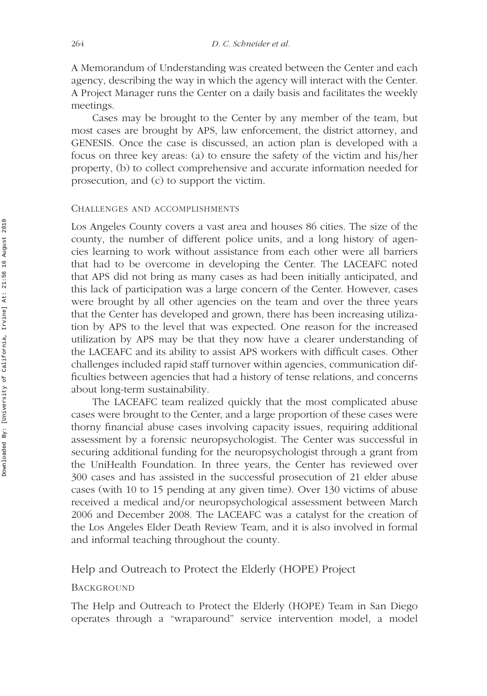A Memorandum of Understanding was created between the Center and each agency, describing the way in which the agency will interact with the Center. A Project Manager runs the Center on a daily basis and facilitates the weekly meetings.

Cases may be brought to the Center by any member of the team, but most cases are brought by APS, law enforcement, the district attorney, and GENESIS. Once the case is discussed, an action plan is developed with a focus on three key areas: (a) to ensure the safety of the victim and his*/*her property, (b) to collect comprehensive and accurate information needed for prosecution, and (c) to support the victim.

#### CHALLENGES AND ACCOMPLISHMENTS

Los Angeles County covers a vast area and houses 86 cities. The size of the county, the number of different police units, and a long history of agencies learning to work without assistance from each other were all barriers that had to be overcome in developing the Center. The LACEAFC noted that APS did not bring as many cases as had been initially anticipated, and this lack of participation was a large concern of the Center. However, cases were brought by all other agencies on the team and over the three years that the Center has developed and grown, there has been increasing utilization by APS to the level that was expected. One reason for the increased utilization by APS may be that they now have a clearer understanding of the LACEAFC and its ability to assist APS workers with difficult cases. Other challenges included rapid staff turnover within agencies, communication difficulties between agencies that had a history of tense relations, and concerns about long-term sustainability.

The LACEAFC team realized quickly that the most complicated abuse cases were brought to the Center, and a large proportion of these cases were thorny financial abuse cases involving capacity issues, requiring additional assessment by a forensic neuropsychologist. The Center was successful in securing additional funding for the neuropsychologist through a grant from the UniHealth Foundation. In three years, the Center has reviewed over 300 cases and has assisted in the successful prosecution of 21 elder abuse cases (with 10 to 15 pending at any given time). Over 130 victims of abuse received a medical and*/*or neuropsychological assessment between March 2006 and December 2008. The LACEAFC was a catalyst for the creation of the Los Angeles Elder Death Review Team, and it is also involved in formal and informal teaching throughout the county.

## Help and Outreach to Protect the Elderly (HOPE) Project

## BACKGROUND

The Help and Outreach to Protect the Elderly (HOPE) Team in San Diego operates through a "wraparound" service intervention model, a model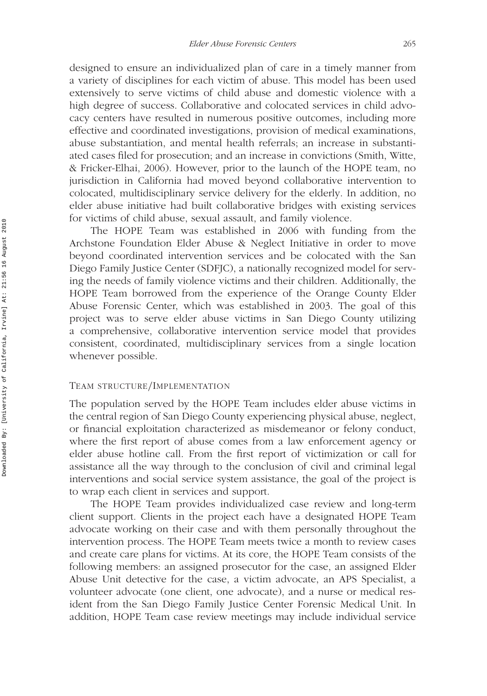designed to ensure an individualized plan of care in a timely manner from a variety of disciplines for each victim of abuse. This model has been used extensively to serve victims of child abuse and domestic violence with a high degree of success. Collaborative and colocated services in child advocacy centers have resulted in numerous positive outcomes, including more effective and coordinated investigations, provision of medical examinations, abuse substantiation, and mental health referrals; an increase in substantiated cases filed for prosecution; and an increase in convictions (Smith, Witte, & Fricker-Elhai, 2006). However, prior to the launch of the HOPE team, no jurisdiction in California had moved beyond collaborative intervention to colocated, multidisciplinary service delivery for the elderly. In addition, no elder abuse initiative had built collaborative bridges with existing services for victims of child abuse, sexual assault, and family violence.

The HOPE Team was established in 2006 with funding from the Archstone Foundation Elder Abuse & Neglect Initiative in order to move beyond coordinated intervention services and be colocated with the San Diego Family Justice Center (SDFJC), a nationally recognized model for serving the needs of family violence victims and their children. Additionally, the HOPE Team borrowed from the experience of the Orange County Elder Abuse Forensic Center, which was established in 2003. The goal of this project was to serve elder abuse victims in San Diego County utilizing a comprehensive, collaborative intervention service model that provides consistent, coordinated, multidisciplinary services from a single location whenever possible.

#### TEAM STRUCTURE*/*IMPLEMENTATION

The population served by the HOPE Team includes elder abuse victims in the central region of San Diego County experiencing physical abuse, neglect, or financial exploitation characterized as misdemeanor or felony conduct, where the first report of abuse comes from a law enforcement agency or elder abuse hotline call. From the first report of victimization or call for assistance all the way through to the conclusion of civil and criminal legal interventions and social service system assistance, the goal of the project is to wrap each client in services and support.

The HOPE Team provides individualized case review and long-term client support. Clients in the project each have a designated HOPE Team advocate working on their case and with them personally throughout the intervention process. The HOPE Team meets twice a month to review cases and create care plans for victims. At its core, the HOPE Team consists of the following members: an assigned prosecutor for the case, an assigned Elder Abuse Unit detective for the case, a victim advocate, an APS Specialist, a volunteer advocate (one client, one advocate), and a nurse or medical resident from the San Diego Family Justice Center Forensic Medical Unit. In addition, HOPE Team case review meetings may include individual service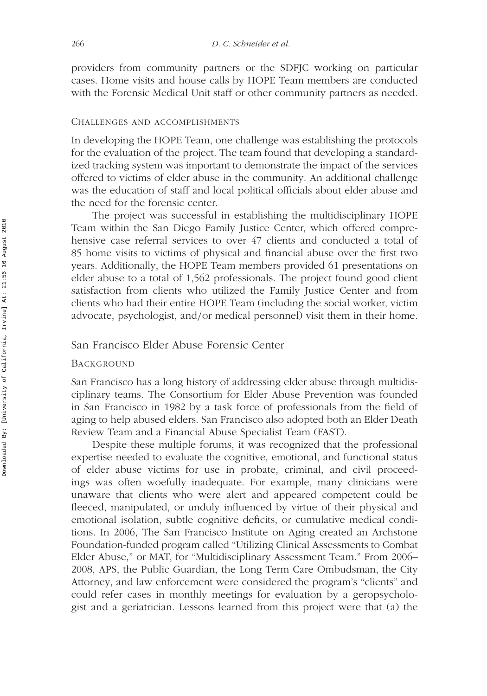providers from community partners or the SDFJC working on particular cases. Home visits and house calls by HOPE Team members are conducted with the Forensic Medical Unit staff or other community partners as needed.

#### CHALLENGES AND ACCOMPLISHMENTS

In developing the HOPE Team, one challenge was establishing the protocols for the evaluation of the project. The team found that developing a standardized tracking system was important to demonstrate the impact of the services offered to victims of elder abuse in the community. An additional challenge was the education of staff and local political officials about elder abuse and the need for the forensic center.

The project was successful in establishing the multidisciplinary HOPE Team within the San Diego Family Justice Center, which offered comprehensive case referral services to over 47 clients and conducted a total of 85 home visits to victims of physical and financial abuse over the first two years. Additionally, the HOPE Team members provided 61 presentations on elder abuse to a total of 1,562 professionals. The project found good client satisfaction from clients who utilized the Family Justice Center and from clients who had their entire HOPE Team (including the social worker, victim advocate, psychologist, and*/*or medical personnel) visit them in their home.

## San Francisco Elder Abuse Forensic Center

#### **BACKGROUND**

San Francisco has a long history of addressing elder abuse through multidisciplinary teams. The Consortium for Elder Abuse Prevention was founded in San Francisco in 1982 by a task force of professionals from the field of aging to help abused elders. San Francisco also adopted both an Elder Death Review Team and a Financial Abuse Specialist Team (FAST).

Despite these multiple forums, it was recognized that the professional expertise needed to evaluate the cognitive, emotional, and functional status of elder abuse victims for use in probate, criminal, and civil proceedings was often woefully inadequate. For example, many clinicians were unaware that clients who were alert and appeared competent could be fleeced, manipulated, or unduly influenced by virtue of their physical and emotional isolation, subtle cognitive deficits, or cumulative medical conditions. In 2006, The San Francisco Institute on Aging created an Archstone Foundation-funded program called "Utilizing Clinical Assessments to Combat Elder Abuse," or MAT, for "Multidisciplinary Assessment Team." From 2006– 2008, APS, the Public Guardian, the Long Term Care Ombudsman, the City Attorney, and law enforcement were considered the program's "clients" and could refer cases in monthly meetings for evaluation by a geropsychologist and a geriatrician. Lessons learned from this project were that (a) the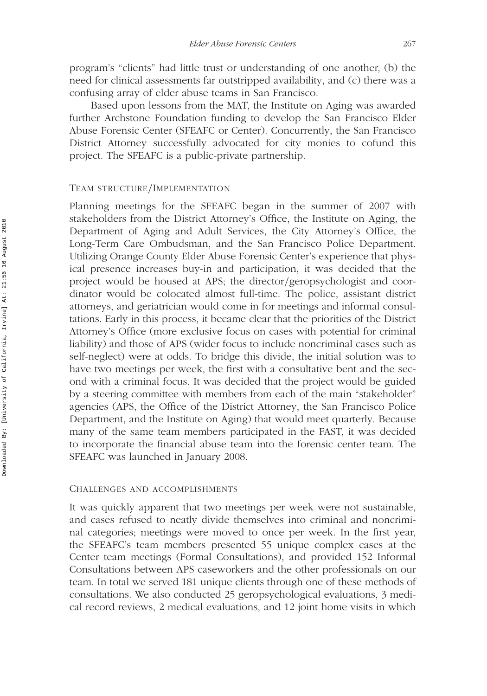program's "clients" had little trust or understanding of one another, (b) the need for clinical assessments far outstripped availability, and (c) there was a confusing array of elder abuse teams in San Francisco.

Based upon lessons from the MAT, the Institute on Aging was awarded further Archstone Foundation funding to develop the San Francisco Elder Abuse Forensic Center (SFEAFC or Center). Concurrently, the San Francisco District Attorney successfully advocated for city monies to cofund this project. The SFEAFC is a public-private partnership.

## TEAM STRUCTURE*/*IMPLEMENTATION

Planning meetings for the SFEAFC began in the summer of 2007 with stakeholders from the District Attorney's Office, the Institute on Aging, the Department of Aging and Adult Services, the City Attorney's Office, the Long-Term Care Ombudsman, and the San Francisco Police Department. Utilizing Orange County Elder Abuse Forensic Center's experience that physical presence increases buy-in and participation, it was decided that the project would be housed at APS; the director*/*geropsychologist and coordinator would be colocated almost full-time. The police, assistant district attorneys, and geriatrician would come in for meetings and informal consultations. Early in this process, it became clear that the priorities of the District Attorney's Office (more exclusive focus on cases with potential for criminal liability) and those of APS (wider focus to include noncriminal cases such as self-neglect) were at odds. To bridge this divide, the initial solution was to have two meetings per week, the first with a consultative bent and the second with a criminal focus. It was decided that the project would be guided by a steering committee with members from each of the main "stakeholder" agencies (APS, the Office of the District Attorney, the San Francisco Police Department, and the Institute on Aging) that would meet quarterly. Because many of the same team members participated in the FAST, it was decided to incorporate the financial abuse team into the forensic center team. The SFEAFC was launched in January 2008.

#### CHALLENGES AND ACCOMPLISHMENTS

It was quickly apparent that two meetings per week were not sustainable, and cases refused to neatly divide themselves into criminal and noncriminal categories; meetings were moved to once per week. In the first year, the SFEAFC's team members presented 55 unique complex cases at the Center team meetings (Formal Consultations), and provided 152 Informal Consultations between APS caseworkers and the other professionals on our team. In total we served 181 unique clients through one of these methods of consultations. We also conducted 25 geropsychological evaluations, 3 medical record reviews, 2 medical evaluations, and 12 joint home visits in which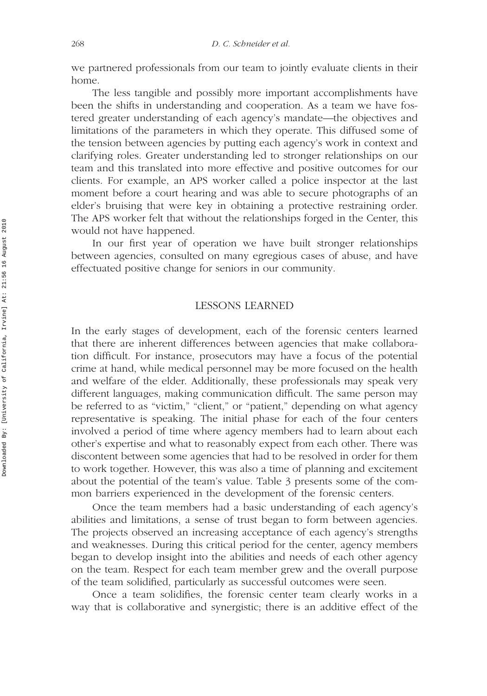we partnered professionals from our team to jointly evaluate clients in their home.

The less tangible and possibly more important accomplishments have been the shifts in understanding and cooperation. As a team we have fostered greater understanding of each agency's mandate—the objectives and limitations of the parameters in which they operate. This diffused some of the tension between agencies by putting each agency's work in context and clarifying roles. Greater understanding led to stronger relationships on our team and this translated into more effective and positive outcomes for our clients. For example, an APS worker called a police inspector at the last moment before a court hearing and was able to secure photographs of an elder's bruising that were key in obtaining a protective restraining order. The APS worker felt that without the relationships forged in the Center, this would not have happened.

In our first year of operation we have built stronger relationships between agencies, consulted on many egregious cases of abuse, and have effectuated positive change for seniors in our community.

## LESSONS LEARNED

In the early stages of development, each of the forensic centers learned that there are inherent differences between agencies that make collaboration difficult. For instance, prosecutors may have a focus of the potential crime at hand, while medical personnel may be more focused on the health and welfare of the elder. Additionally, these professionals may speak very different languages, making communication difficult. The same person may be referred to as "victim," "client," or "patient," depending on what agency representative is speaking. The initial phase for each of the four centers involved a period of time where agency members had to learn about each other's expertise and what to reasonably expect from each other. There was discontent between some agencies that had to be resolved in order for them to work together. However, this was also a time of planning and excitement about the potential of the team's value. Table 3 presents some of the common barriers experienced in the development of the forensic centers.

Once the team members had a basic understanding of each agency's abilities and limitations, a sense of trust began to form between agencies. The projects observed an increasing acceptance of each agency's strengths and weaknesses. During this critical period for the center, agency members began to develop insight into the abilities and needs of each other agency on the team. Respect for each team member grew and the overall purpose of the team solidified, particularly as successful outcomes were seen.

Once a team solidifies, the forensic center team clearly works in a way that is collaborative and synergistic; there is an additive effect of the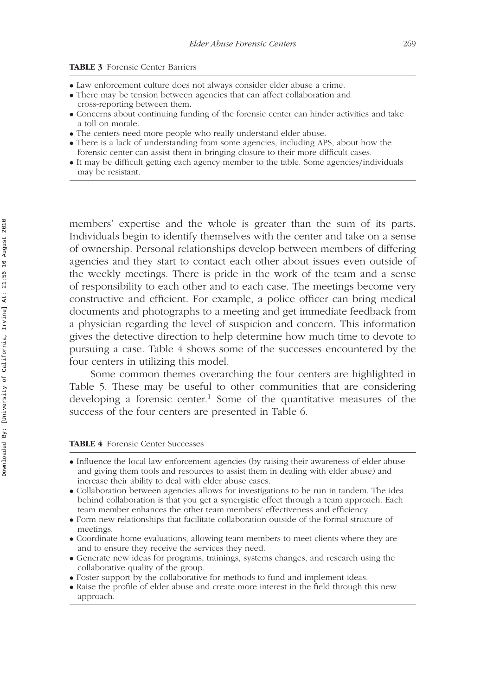- Law enforcement culture does not always consider elder abuse a crime.
- There may be tension between agencies that can affect collaboration and cross-reporting between them.
- Concerns about continuing funding of the forensic center can hinder activities and take a toll on morale.
- The centers need more people who really understand elder abuse.
- There is a lack of understanding from some agencies, including APS, about how the forensic center can assist them in bringing closure to their more difficult cases.
- It may be difficult getting each agency member to the table. Some agencies*/*individuals may be resistant.

members' expertise and the whole is greater than the sum of its parts. Individuals begin to identify themselves with the center and take on a sense of ownership. Personal relationships develop between members of differing agencies and they start to contact each other about issues even outside of the weekly meetings. There is pride in the work of the team and a sense of responsibility to each other and to each case. The meetings become very constructive and efficient. For example, a police officer can bring medical documents and photographs to a meeting and get immediate feedback from a physician regarding the level of suspicion and concern. This information gives the detective direction to help determine how much time to devote to pursuing a case. Table 4 shows some of the successes encountered by the four centers in utilizing this model.

Some common themes overarching the four centers are highlighted in Table 5. These may be useful to other communities that are considering developing a forensic center.<sup>1</sup> Some of the quantitative measures of the success of the four centers are presented in Table 6.

#### **TABLE 4** Forensic Center Successes

- Influence the local law enforcement agencies (by raising their awareness of elder abuse and giving them tools and resources to assist them in dealing with elder abuse) and increase their ability to deal with elder abuse cases.
- Collaboration between agencies allows for investigations to be run in tandem. The idea behind collaboration is that you get a synergistic effect through a team approach. Each team member enhances the other team members' effectiveness and efficiency.
- Form new relationships that facilitate collaboration outside of the formal structure of meetings.
- Coordinate home evaluations, allowing team members to meet clients where they are and to ensure they receive the services they need.
- Generate new ideas for programs, trainings, systems changes, and research using the collaborative quality of the group.
- Foster support by the collaborative for methods to fund and implement ideas.
- Raise the profile of elder abuse and create more interest in the field through this new approach.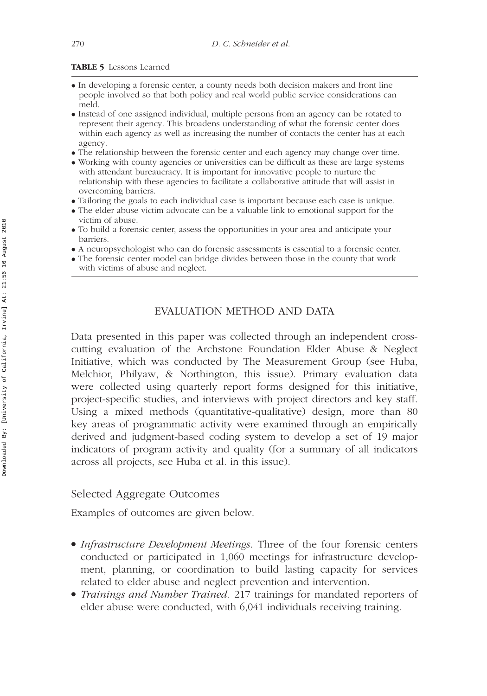#### **TABLE 5** Lessons Learned

- In developing a forensic center, a county needs both decision makers and front line people involved so that both policy and real world public service considerations can meld.
- Instead of one assigned individual, multiple persons from an agency can be rotated to represent their agency. This broadens understanding of what the forensic center does within each agency as well as increasing the number of contacts the center has at each agency.
- The relationship between the forensic center and each agency may change over time.
- Working with county agencies or universities can be difficult as these are large systems with attendant bureaucracy. It is important for innovative people to nurture the relationship with these agencies to facilitate a collaborative attitude that will assist in overcoming barriers.
- Tailoring the goals to each individual case is important because each case is unique.
- The elder abuse victim advocate can be a valuable link to emotional support for the victim of abuse.
- To build a forensic center, assess the opportunities in your area and anticipate your barriers.
- A neuropsychologist who can do forensic assessments is essential to a forensic center.
- The forensic center model can bridge divides between those in the county that work with victims of abuse and neglect.

## EVALUATION METHOD AND DATA

Data presented in this paper was collected through an independent crosscutting evaluation of the Archstone Foundation Elder Abuse & Neglect Initiative, which was conducted by The Measurement Group (see Huba, Melchior, Philyaw, & Northington, this issue). Primary evaluation data were collected using quarterly report forms designed for this initiative, project-specific studies, and interviews with project directors and key staff. Using a mixed methods (quantitative-qualitative) design, more than 80 key areas of programmatic activity were examined through an empirically derived and judgment-based coding system to develop a set of 19 major indicators of program activity and quality (for a summary of all indicators across all projects, see Huba et al. in this issue).

## Selected Aggregate Outcomes

Examples of outcomes are given below.

- *Infrastructure Development Meetings*. Three of the four forensic centers conducted or participated in 1,060 meetings for infrastructure development, planning, or coordination to build lasting capacity for services related to elder abuse and neglect prevention and intervention.
- *Trainings and Number Trained*. 217 trainings for mandated reporters of elder abuse were conducted, with 6,041 individuals receiving training.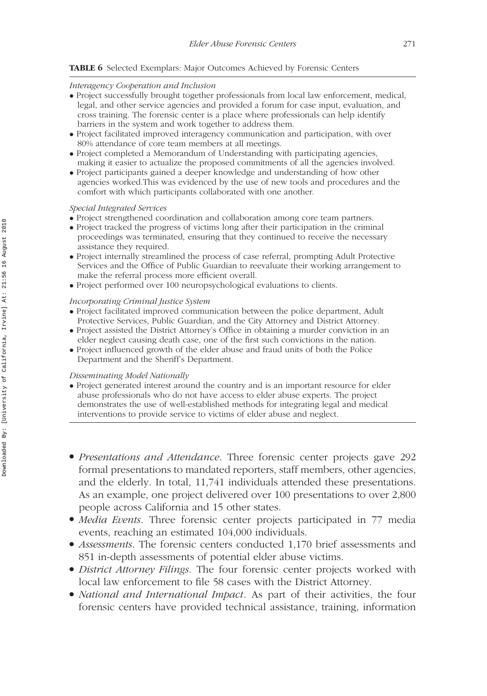#### **TABLE 6** Selected Exemplars: Major Outcomes Achieved by Forensic Centers

#### *Interagency Cooperation and Inclusion*

- Project successfully brought together professionals from local law enforcement, medical, legal, and other service agencies and provided a forum for case input, evaluation, and cross training. The forensic center is a place where professionals can help identify barriers in the system and work together to address them.
- Project facilitated improved interagency communication and participation, with over 80% attendance of core team members at all meetings.
- Project completed a Memorandum of Understanding with participating agencies, making it easier to actualize the proposed commitments of all the agencies involved.
- Project participants gained a deeper knowledge and understanding of how other agencies worked.This was evidenced by the use of new tools and procedures and the comfort with which participants collaborated with one another.

#### *Special Integrated Services*

- Project strengthened coordination and collaboration among core team partners.
- Project tracked the progress of victims long after their participation in the criminal proceedings was terminated, ensuring that they continued to receive the necessary assistance they required.
- Project internally streamlined the process of case referral, prompting Adult Protective Services and the Office of Public Guardian to reevaluate their working arrangement to make the referral process more efficient overall.
- Project performed over 100 neuropsychological evaluations to clients.

#### *Incorporating Criminal Justice System*

- Project facilitated improved communication between the police department, Adult Protective Services, Public Guardian, and the City Attorney and District Attorney.
- Project assisted the District Attorney's Office in obtaining a murder conviction in an elder neglect causing death case, one of the first such convictions in the nation.
- Project influenced growth of the elder abuse and fraud units of both the Police Department and the Sheriff's Department.

#### *Disseminating Model Nationally*

- Project generated interest around the country and is an important resource for elder abuse professionals who do not have access to elder abuse experts. The project demonstrates the use of well-established methods for integrating legal and medical interventions to provide service to victims of elder abuse and neglect.
- *Presentations and Attendance*. Three forensic center projects gave 292 formal presentations to mandated reporters, staff members, other agencies, and the elderly. In total, 11,741 individuals attended these presentations. As an example, one project delivered over 100 presentations to over 2,800 people across California and 15 other states.
- *Media Events*. Three forensic center projects participated in 77 media events, reaching an estimated 104,000 individuals.
- *Assessments*. The forensic centers conducted 1,170 brief assessments and 851 in-depth assessments of potential elder abuse victims.
- *District Attorney Filings*. The four forensic center projects worked with local law enforcement to file 58 cases with the District Attorney.
- *National and International Impact*. As part of their activities, the four forensic centers have provided technical assistance, training, information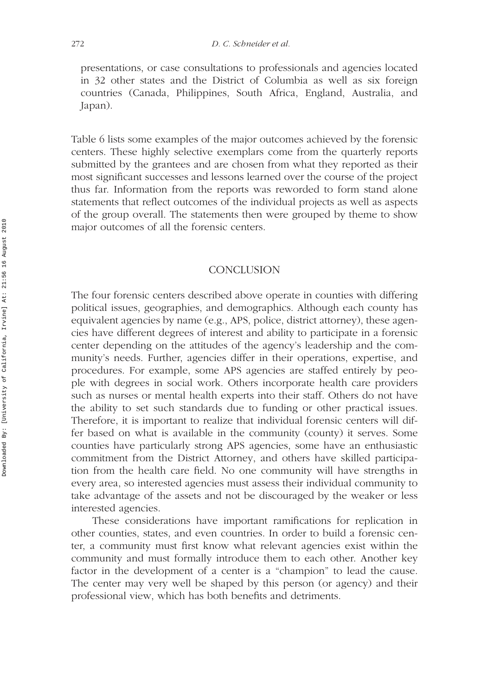presentations, or case consultations to professionals and agencies located in 32 other states and the District of Columbia as well as six foreign countries (Canada, Philippines, South Africa, England, Australia, and Japan).

Table 6 lists some examples of the major outcomes achieved by the forensic centers. These highly selective exemplars come from the quarterly reports submitted by the grantees and are chosen from what they reported as their most significant successes and lessons learned over the course of the project thus far. Information from the reports was reworded to form stand alone statements that reflect outcomes of the individual projects as well as aspects of the group overall. The statements then were grouped by theme to show major outcomes of all the forensic centers.

## **CONCLUSION**

The four forensic centers described above operate in counties with differing political issues, geographies, and demographics. Although each county has equivalent agencies by name (e.g., APS, police, district attorney), these agencies have different degrees of interest and ability to participate in a forensic center depending on the attitudes of the agency's leadership and the community's needs. Further, agencies differ in their operations, expertise, and procedures. For example, some APS agencies are staffed entirely by people with degrees in social work. Others incorporate health care providers such as nurses or mental health experts into their staff. Others do not have the ability to set such standards due to funding or other practical issues. Therefore, it is important to realize that individual forensic centers will differ based on what is available in the community (county) it serves. Some counties have particularly strong APS agencies, some have an enthusiastic commitment from the District Attorney, and others have skilled participation from the health care field. No one community will have strengths in every area, so interested agencies must assess their individual community to take advantage of the assets and not be discouraged by the weaker or less interested agencies.

These considerations have important ramifications for replication in other counties, states, and even countries. In order to build a forensic center, a community must first know what relevant agencies exist within the community and must formally introduce them to each other. Another key factor in the development of a center is a "champion" to lead the cause. The center may very well be shaped by this person (or agency) and their professional view, which has both benefits and detriments.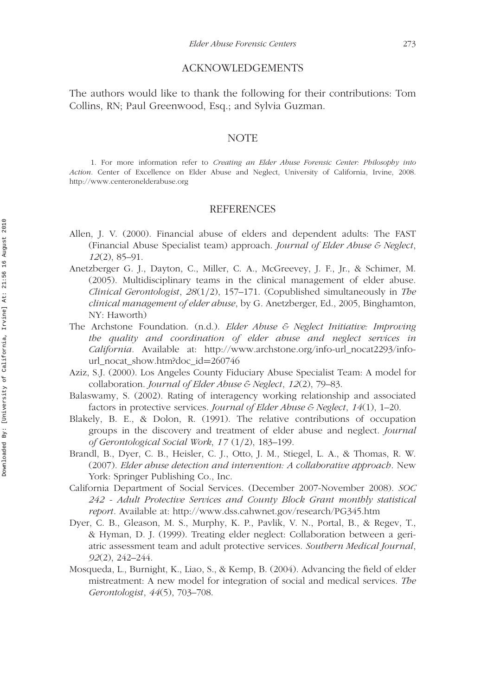## ACKNOWLEDGEMENTS

The authors would like to thank the following for their contributions: Tom Collins, RN; Paul Greenwood, Esq.; and Sylvia Guzman.

#### NOTE

1. For more information refer to *Creating an Elder Abuse Forensic Center: Philosophy into Action*. Center of Excellence on Elder Abuse and Neglect, University of California, Irvine, 2008. http://www.centeronelderabuse.org

#### REFERENCES

- Allen, J. V. (2000). Financial abuse of elders and dependent adults: The FAST (Financial Abuse Specialist team) approach. *Journal of Elder Abuse & Neglect*, *12*(2), 85–91.
- Anetzberger G. J., Dayton, C., Miller, C. A., McGreevey, J. F., Jr., & Schimer, M. (2005). Multidisciplinary teams in the clinical management of elder abuse. *Clinical Gerontologist*, *28*(1*/*2), 157–171. (Copublished simultaneously in *The clinical management of elder abuse*, by G. Anetzberger, Ed., 2005, Binghamton, NY: Haworth)
- The Archstone Foundation. (n.d.). *Elder Abuse & Neglect Initiative: Improving the quality and coordination of elder abuse and neglect services in California.* Available at: http://www.archstone.org/info-url\_nocat2293/infourl\_nocat\_show.htm?doc\_id=260746
- Aziz, S.J. (2000). Los Angeles County Fiduciary Abuse Specialist Team: A model for collaboration. *Journal of Elder Abuse & Neglect*, *12*(2), 79–83.
- Balaswamy, S. (2002). Rating of interagency working relationship and associated factors in protective services. *Journal of Elder Abuse & Neglect*, *14*(1), 1–20.
- Blakely, B. E., & Dolon, R. (1991). The relative contributions of occupation groups in the discovery and treatment of elder abuse and neglect. *Journal of Gerontological Social Work*, *17* (1*/*2), 183–199.
- Brandl, B., Dyer, C. B., Heisler, C. J., Otto, J. M., Stiegel, L. A., & Thomas, R. W. (2007). *Elder abuse detection and intervention: A collaborative approach*. New York: Springer Publishing Co., Inc.
- California Department of Social Services. (December 2007-November 2008). *SOC 242 - Adult Protective Services and County Block Grant monthly statistical report*. Available at: http://www.dss.cahwnet.gov/research/PG345.htm
- Dyer, C. B., Gleason, M. S., Murphy, K. P., Pavlik, V. N., Portal, B., & Regev, T., & Hyman, D. J. (1999). Treating elder neglect: Collaboration between a geriatric assessment team and adult protective services. *Southern Medical Journal*, *92*(2), 242–244.
- Mosqueda, L., Burnight, K., Liao, S., & Kemp, B. (2004). Advancing the field of elder mistreatment: A new model for integration of social and medical services. *The Gerontologist*, *44*(5), 703–708.